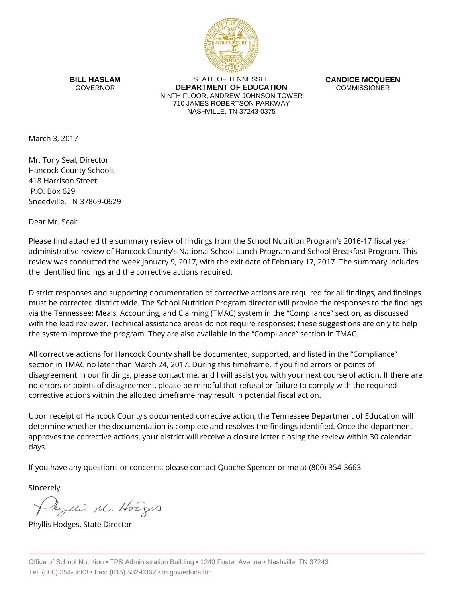

**BILL HASLAM** GOVERNOR

STATE OF TENNESSEE **DEPARTMENT OF EDUCATION** NINTH FLOOR, ANDREW JOHNSON TOWER 710 JAMES ROBERTSON PARKWAY NASHVILLE, TN 37243-0375

**CANDICE MCQUEEN** COMMISSIONER

March 3, 2017

Mr. Tony Seal, Director Hancock County Schools 418 Harrison Street P.O. Box 629 Sneedville, TN 37869-0629

Dear Mr. Seal:

Please find attached the summary review of findings from the School Nutrition Program's 2016-17 fiscal year administrative review of Hancock County's National School Lunch Program and School Breakfast Program. This review was conducted the week January 9, 2017, with the exit date of February 17, 2017. The summary includes the identified findings and the corrective actions required.

District responses and supporting documentation of corrective actions are required for all findings, and findings must be corrected district wide. The School Nutrition Program director will provide the responses to the findings via the Tennessee: Meals, Accounting, and Claiming (TMAC) system in the "Compliance" section, as discussed with the lead reviewer. Technical assistance areas do not require responses; these suggestions are only to help the system improve the program. They are also available in the "Compliance" section in TMAC.

All corrective actions for Hancock County shall be documented, supported, and listed in the "Compliance" section in TMAC no later than March 24, 2017. During this timeframe, if you find errors or points of disagreement in our findings, please contact me, and I will assist you with your next course of action. If there are no errors or points of disagreement, please be mindful that refusal or failure to comply with the required corrective actions within the allotted timeframe may result in potential fiscal action.

Upon receipt of Hancock County's documented corrective action, the Tennessee Department of Education will determine whether the documentation is complete and resolves the findings identified. Once the department approves the corrective actions, your district will receive a closure letter closing the review within 30 calendar days.

If you have any questions or concerns, please contact Quache Spencer or me at (800) 354-3663.

Sincerely,

Myllis M. Hodges

Phyllis Hodges, State Director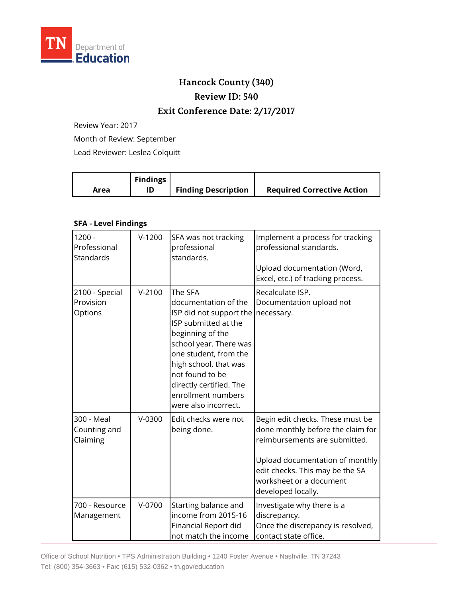

## **Hancock County (340) Review ID: 540**

## **Exit Conference Date: 2/17/2017**

Review Year: 2017

Month of Review: September

Lead Reviewer: Leslea Colquitt

| <b>Findings</b><br><b>Finding Description</b><br>Area | <b>Required Corrective Action</b> |
|-------------------------------------------------------|-----------------------------------|
|-------------------------------------------------------|-----------------------------------|

## **SFA - Level Findings**

| $1200 -$<br>Professional<br>Standards  | $V-1200$ | SFA was not tracking<br>professional<br>standards.                                                                                                                                                                                                                             | Implement a process for tracking<br>professional standards.<br>Upload documentation (Word,<br>Excel, etc.) of tracking process.                                                                                               |
|----------------------------------------|----------|--------------------------------------------------------------------------------------------------------------------------------------------------------------------------------------------------------------------------------------------------------------------------------|-------------------------------------------------------------------------------------------------------------------------------------------------------------------------------------------------------------------------------|
| 2100 - Special<br>Provision<br>Options | $V-2100$ | The SFA<br>documentation of the<br>ISP did not support the<br>ISP submitted at the<br>beginning of the<br>school year. There was<br>one student, from the<br>high school, that was<br>not found to be<br>directly certified. The<br>enrollment numbers<br>were also incorrect. | Recalculate ISP.<br>Documentation upload not<br>necessary.                                                                                                                                                                    |
| 300 - Meal<br>Counting and<br>Claiming | $V-0300$ | Edit checks were not<br>being done.                                                                                                                                                                                                                                            | Begin edit checks. These must be<br>done monthly before the claim for<br>reimbursements are submitted.<br>Upload documentation of monthly<br>edit checks. This may be the SA<br>worksheet or a document<br>developed locally. |
| 700 - Resource<br>Management           | $V-0700$ | Starting balance and<br>income from 2015-16<br>Financial Report did<br>not match the income                                                                                                                                                                                    | Investigate why there is a<br>discrepancy.<br>Once the discrepancy is resolved,<br>contact state office.                                                                                                                      |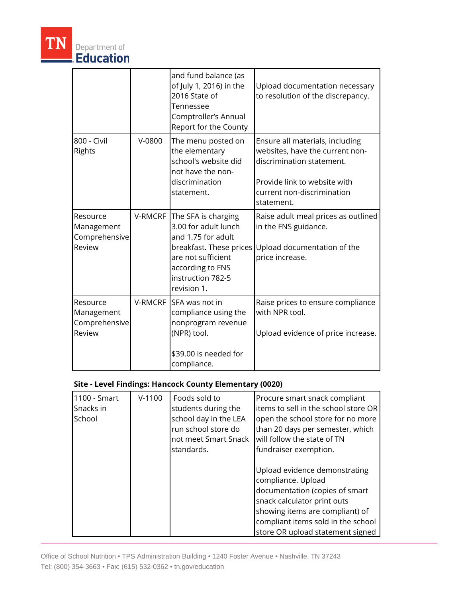|                                                   |          | and fund balance (as<br>of July 1, 2016) in the<br>2016 State of<br>Tennessee<br>Comptroller's Annual<br>Report for the County                                             | Upload documentation necessary<br>to resolution of the discrepancy.                                                                                                         |
|---------------------------------------------------|----------|----------------------------------------------------------------------------------------------------------------------------------------------------------------------------|-----------------------------------------------------------------------------------------------------------------------------------------------------------------------------|
| 800 - Civil<br>Rights                             | $V-0800$ | The menu posted on<br>the elementary<br>school's website did<br>not have the non-<br>discrimination<br>statement.                                                          | Ensure all materials, including<br>websites, have the current non-<br>discrimination statement.<br>Provide link to website with<br>current non-discrimination<br>statement. |
| Resource<br>Management<br>Comprehensive<br>Review | V-RMCRF  | The SFA is charging<br>3.00 for adult lunch<br>and 1.75 for adult<br>breakfast. These prices<br>are not sufficient<br>according to FNS<br>instruction 782-5<br>revision 1. | Raise adult meal prices as outlined<br>in the FNS guidance.<br>Upload documentation of the<br>price increase.                                                               |
| Resource<br>Management<br>Comprehensive<br>Review | V-RMCRF  | <b>SFA</b> was not in<br>compliance using the<br>nonprogram revenue<br>(NPR) tool.<br>\$39.00 is needed for<br>compliance.                                                 | Raise prices to ensure compliance<br>with NPR tool.<br>Upload evidence of price increase.                                                                                   |

## **Site - Level Findings: Hancock County Elementary (0020)**

| 1100 - Smart<br>Snacks in<br>School | $V-1100$ | Foods sold to<br>students during the<br>school day in the LEA<br>run school store do<br>not meet Smart Snack<br>standards. | Procure smart snack compliant<br>items to sell in the school store OR<br>open the school store for no more<br>than 20 days per semester, which<br>will follow the state of TN<br>fundraiser exemption.                            |
|-------------------------------------|----------|----------------------------------------------------------------------------------------------------------------------------|-----------------------------------------------------------------------------------------------------------------------------------------------------------------------------------------------------------------------------------|
|                                     |          |                                                                                                                            | Upload evidence demonstrating<br>compliance. Upload<br>documentation (copies of smart<br>snack calculator print outs<br>showing items are compliant) of<br>compliant items sold in the school<br>store OR upload statement signed |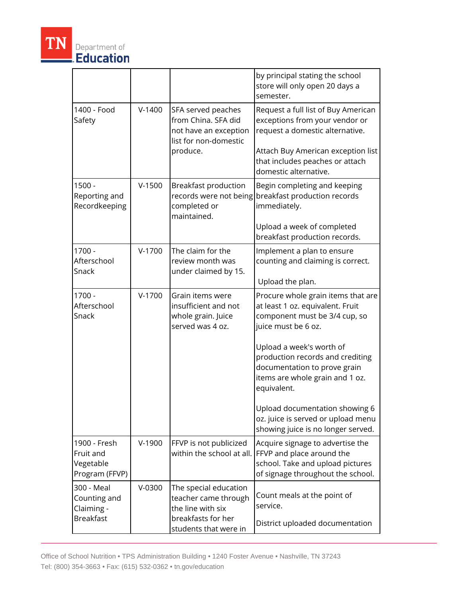

|                                                              |          |                                                                                                                   | by principal stating the school<br>store will only open 20 days a<br>semester.                                                                                                                                                                                                                                                                                                                 |
|--------------------------------------------------------------|----------|-------------------------------------------------------------------------------------------------------------------|------------------------------------------------------------------------------------------------------------------------------------------------------------------------------------------------------------------------------------------------------------------------------------------------------------------------------------------------------------------------------------------------|
| 1400 - Food<br>Safety                                        | $V-1400$ | SFA served peaches<br>from China. SFA did<br>not have an exception<br>list for non-domestic<br>produce.           | Request a full list of Buy American<br>exceptions from your vendor or<br>request a domestic alternative.<br>Attach Buy American exception list<br>that includes peaches or attach<br>domestic alternative.                                                                                                                                                                                     |
| $1500 -$<br>Reporting and<br>Recordkeeping                   | $V-1500$ | Breakfast production<br>records were not being<br>completed or<br>maintained.                                     | Begin completing and keeping<br>breakfast production records<br>immediately.<br>Upload a week of completed<br>breakfast production records.                                                                                                                                                                                                                                                    |
| $1700 -$<br>Afterschool<br>Snack                             | $V-1700$ | The claim for the<br>review month was<br>under claimed by 15.                                                     | Implement a plan to ensure<br>counting and claiming is correct.<br>Upload the plan.                                                                                                                                                                                                                                                                                                            |
| $1700 -$<br>Afterschool<br>Snack                             | $V-1700$ | Grain items were<br>insufficient and not<br>whole grain. Juice<br>served was 4 oz.                                | Procure whole grain items that are<br>at least 1 oz. equivalent. Fruit<br>component must be 3/4 cup, so<br>juice must be 6 oz.<br>Upload a week's worth of<br>production records and crediting<br>documentation to prove grain<br>items are whole grain and 1 oz.<br>equivalent.<br>Upload documentation showing 6<br>oz. juice is served or upload menu<br>showing juice is no longer served. |
| 1900 - Fresh<br>Fruit and<br>Vegetable<br>Program (FFVP)     | $V-1900$ | FFVP is not publicized<br>within the school at all.                                                               | Acquire signage to advertise the<br>FFVP and place around the<br>school. Take and upload pictures<br>of signage throughout the school.                                                                                                                                                                                                                                                         |
| 300 - Meal<br>Counting and<br>Claiming -<br><b>Breakfast</b> | $V-0300$ | The special education<br>teacher came through<br>the line with six<br>breakfasts for her<br>students that were in | Count meals at the point of<br>service.<br>District uploaded documentation                                                                                                                                                                                                                                                                                                                     |